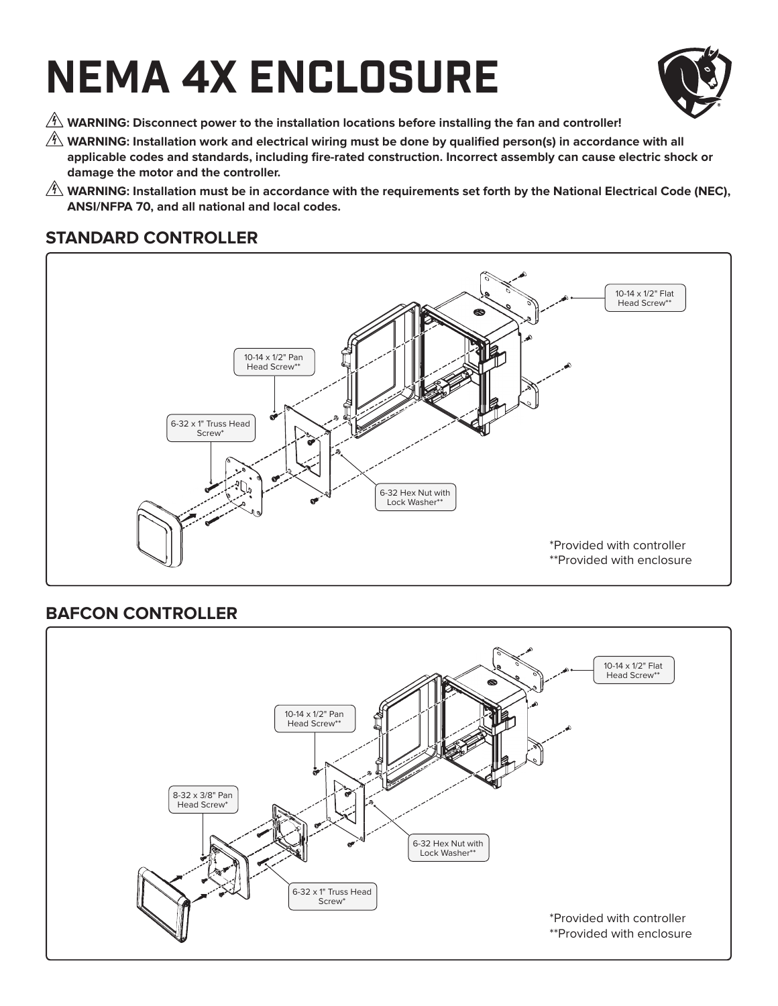# NEMA 4X ENCLOSURE



- $\hat{\mathbb{A}}$  WARNING: Disconnect power to the installation locations before installing the fan and controller!
- $\hat{\A}$  WARNING: Installation work and electrical wiring must be done by qualified person(s) in accordance with all applicable codes and standards, including fire-rated construction. Incorrect assembly can cause electric shock or **damage the motor and the controller.**
- $\hat{\A}$  WARNING: Installation must be in accordance with the requirements set forth by the National Electrical Code (NEC), **ANSI/NFPA 70, and all national and local codes.**

# 6-32 Hex Nut with Lock Washer\*\* 10-14 x 1/2" Flat Head Screw\* 10-14 x 1/2" Pan Head Screw\*\* 6-32 x 1" Truss Head Screw\* \*Provided with controller \*\*Provided with enclosure

## **STANDARD CONTROLLER**

### **BAFCON CONTROLLER**

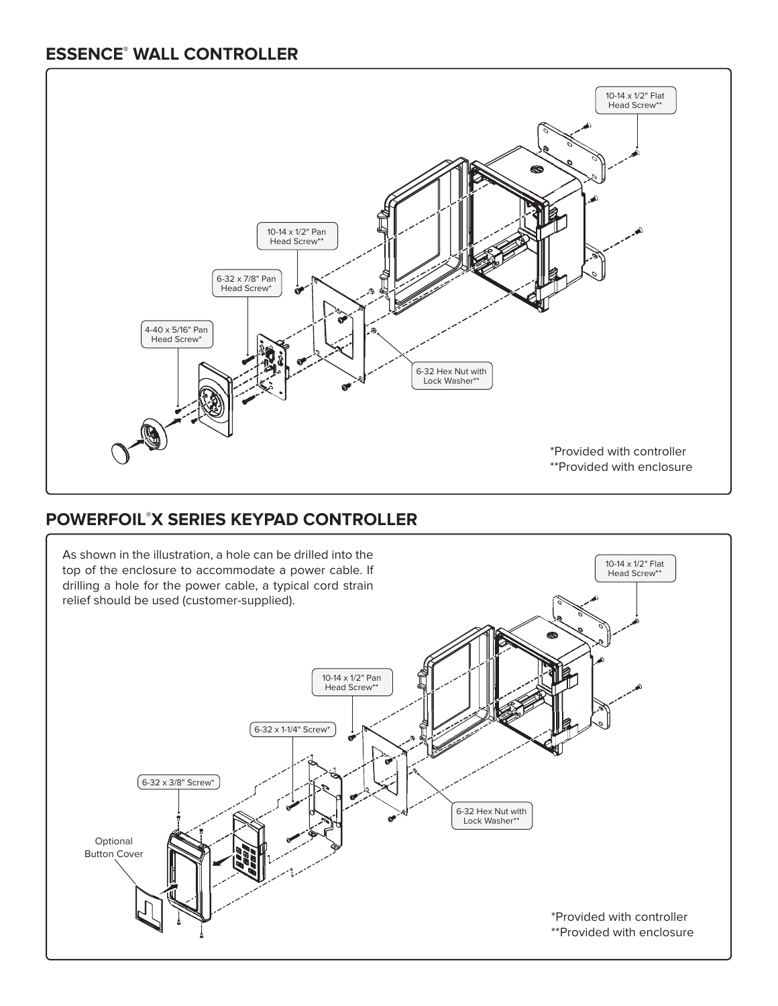#### **ESSENCE® WALL CONTROLLER**



## **POWERFOIL® X SERIES KEYPAD CONTROLLER**

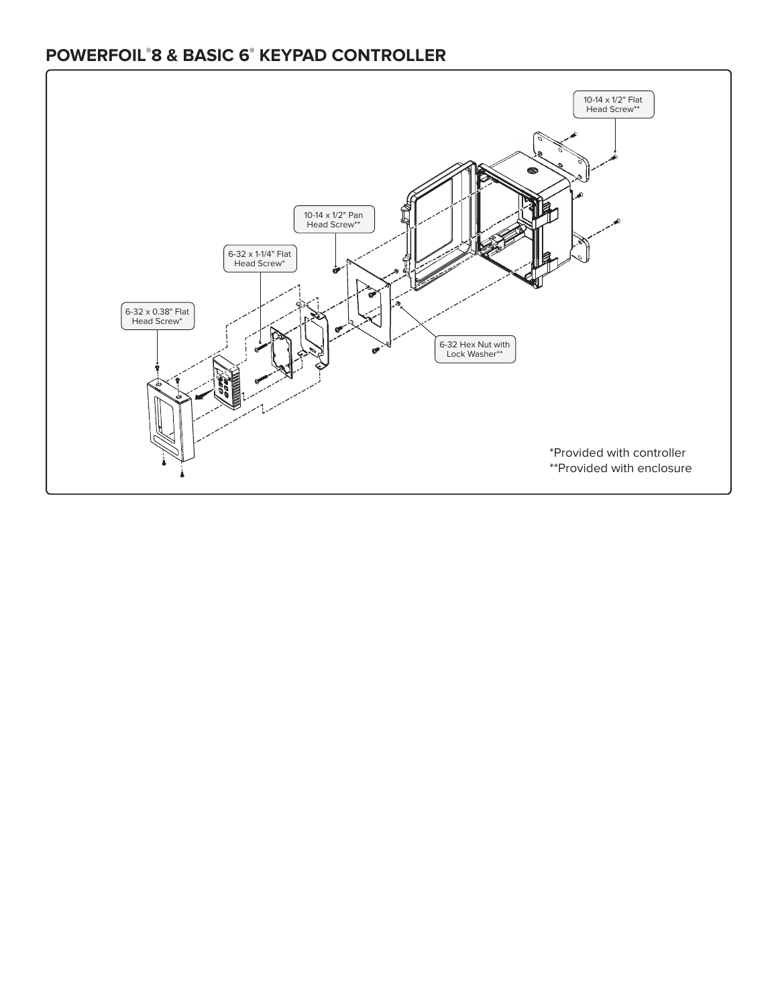#### **POWERFOIL® 8 & BASIC 6® KEYPAD CONTROLLER**